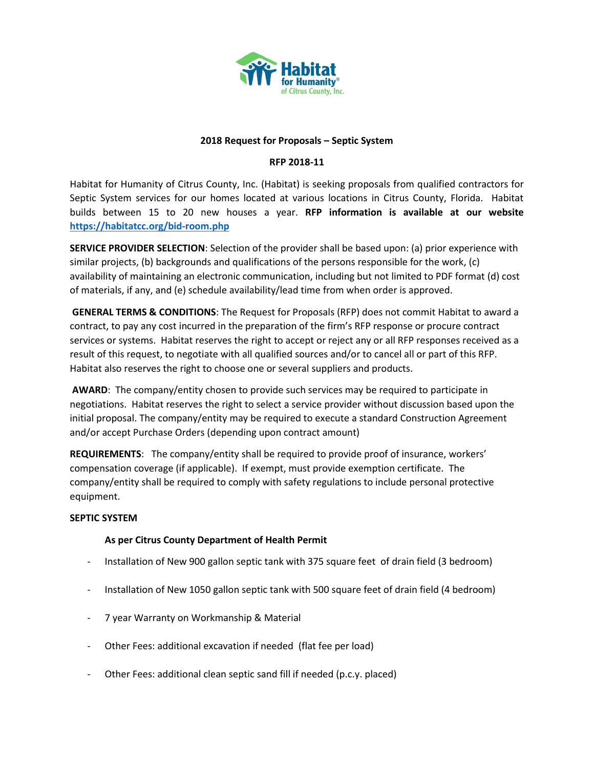

### **2018 Request for Proposals – Septic System**

# **RFP 2018-11**

Habitat for Humanity of Citrus County, Inc. (Habitat) is seeking proposals from qualified contractors for Septic System services for our homes located at various locations in Citrus County, Florida. Habitat builds between 15 to 20 new houses a year. **RFP information is available at our website <https://habitatcc.org/bid-room.php>**

**SERVICE PROVIDER SELECTION**: Selection of the provider shall be based upon: (a) prior experience with similar projects, (b) backgrounds and qualifications of the persons responsible for the work, (c) availability of maintaining an electronic communication, including but not limited to PDF format (d) cost of materials, if any, and (e) schedule availability/lead time from when order is approved.

**GENERAL TERMS & CONDITIONS**: The Request for Proposals (RFP) does not commit Habitat to award a contract, to pay any cost incurred in the preparation of the firm's RFP response or procure contract services or systems. Habitat reserves the right to accept or reject any or all RFP responses received as a result of this request, to negotiate with all qualified sources and/or to cancel all or part of this RFP. Habitat also reserves the right to choose one or several suppliers and products.

**AWARD**: The company/entity chosen to provide such services may be required to participate in negotiations. Habitat reserves the right to select a service provider without discussion based upon the initial proposal. The company/entity may be required to execute a standard Construction Agreement and/or accept Purchase Orders (depending upon contract amount)

**REQUIREMENTS**: The company/entity shall be required to provide proof of insurance, workers' compensation coverage (if applicable). If exempt, must provide exemption certificate. The company/entity shall be required to comply with safety regulations to include personal protective equipment.

# **SEPTIC SYSTEM**

# **As per Citrus County Department of Health Permit**

- Installation of New 900 gallon septic tank with 375 square feet of drain field (3 bedroom)
- Installation of New 1050 gallon septic tank with 500 square feet of drain field (4 bedroom)
- 7 year Warranty on Workmanship & Material
- Other Fees: additional excavation if needed (flat fee per load)
- Other Fees: additional clean septic sand fill if needed (p.c.y. placed)